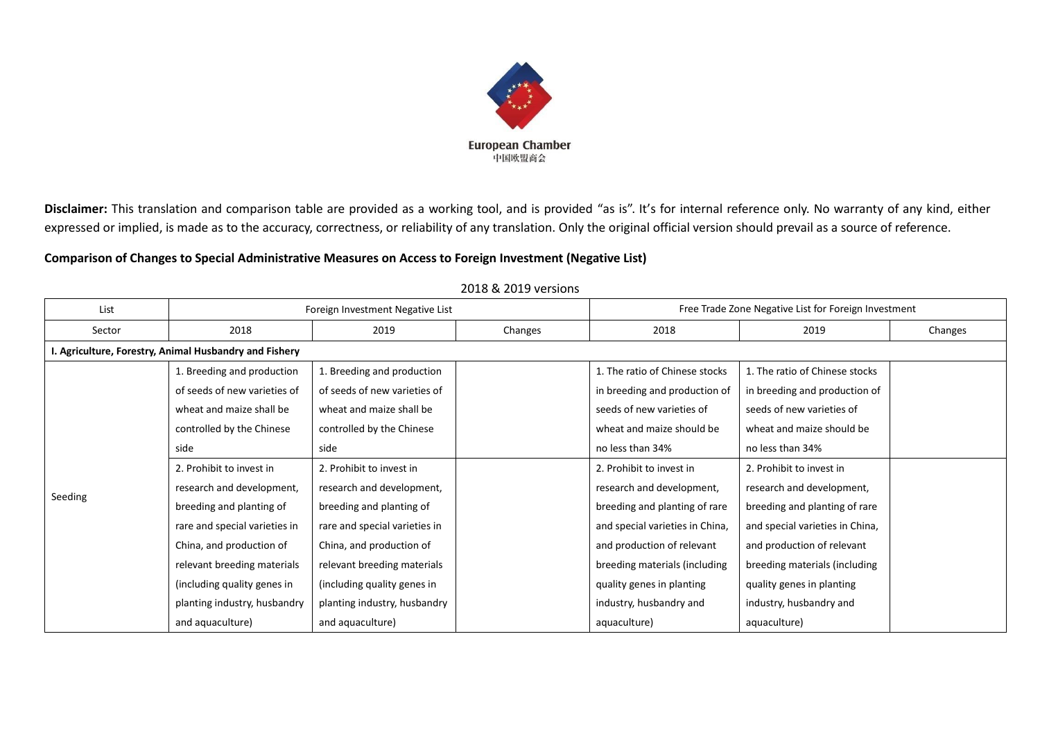

Disclaimer: This translation and comparison table are provided as a working tool, and is provided "as is". It's for internal reference only. No warranty of any kind, either expressed or implied, is made as to the accuracy, correctness, or reliability of any translation. Only the original official version should prevail as a source of reference.

## **Comparison of Changes to Special Administrative Measures on Access to Foreign Investment (Negative List)**

| List    | Foreign Investment Negative List                       |                               |         | Free Trade Zone Negative List for Foreign Investment |                                 |         |  |  |
|---------|--------------------------------------------------------|-------------------------------|---------|------------------------------------------------------|---------------------------------|---------|--|--|
| Sector  | 2018                                                   | 2019                          | Changes | 2018                                                 | 2019                            | Changes |  |  |
|         | I. Agriculture, Forestry, Animal Husbandry and Fishery |                               |         |                                                      |                                 |         |  |  |
|         | 1. Breeding and production                             | 1. Breeding and production    |         | 1. The ratio of Chinese stocks                       | 1. The ratio of Chinese stocks  |         |  |  |
|         | of seeds of new varieties of                           | of seeds of new varieties of  |         | in breeding and production of                        | in breeding and production of   |         |  |  |
|         | wheat and maize shall be                               | wheat and maize shall be      |         | seeds of new varieties of                            | seeds of new varieties of       |         |  |  |
|         | controlled by the Chinese                              | controlled by the Chinese     |         | wheat and maize should be                            | wheat and maize should be       |         |  |  |
|         | side                                                   | side                          |         | no less than 34%                                     | no less than 34%                |         |  |  |
|         | 2. Prohibit to invest in                               | 2. Prohibit to invest in      |         | 2. Prohibit to invest in                             | 2. Prohibit to invest in        |         |  |  |
| Seeding | research and development,                              | research and development,     |         | research and development,                            | research and development,       |         |  |  |
|         | breeding and planting of                               | breeding and planting of      |         | breeding and planting of rare                        | breeding and planting of rare   |         |  |  |
|         | rare and special varieties in                          | rare and special varieties in |         | and special varieties in China,                      | and special varieties in China, |         |  |  |
|         | China, and production of                               | China, and production of      |         | and production of relevant                           | and production of relevant      |         |  |  |
|         | relevant breeding materials                            | relevant breeding materials   |         | breeding materials (including                        | breeding materials (including   |         |  |  |
|         | (including quality genes in                            | (including quality genes in   |         | quality genes in planting                            | quality genes in planting       |         |  |  |
|         | planting industry, husbandry                           | planting industry, husbandry  |         | industry, husbandry and                              | industry, husbandry and         |         |  |  |
|         | and aquaculture)                                       | and aquaculture)              |         | aquaculture)                                         | aquaculture)                    |         |  |  |

## 2018 & 2019 versions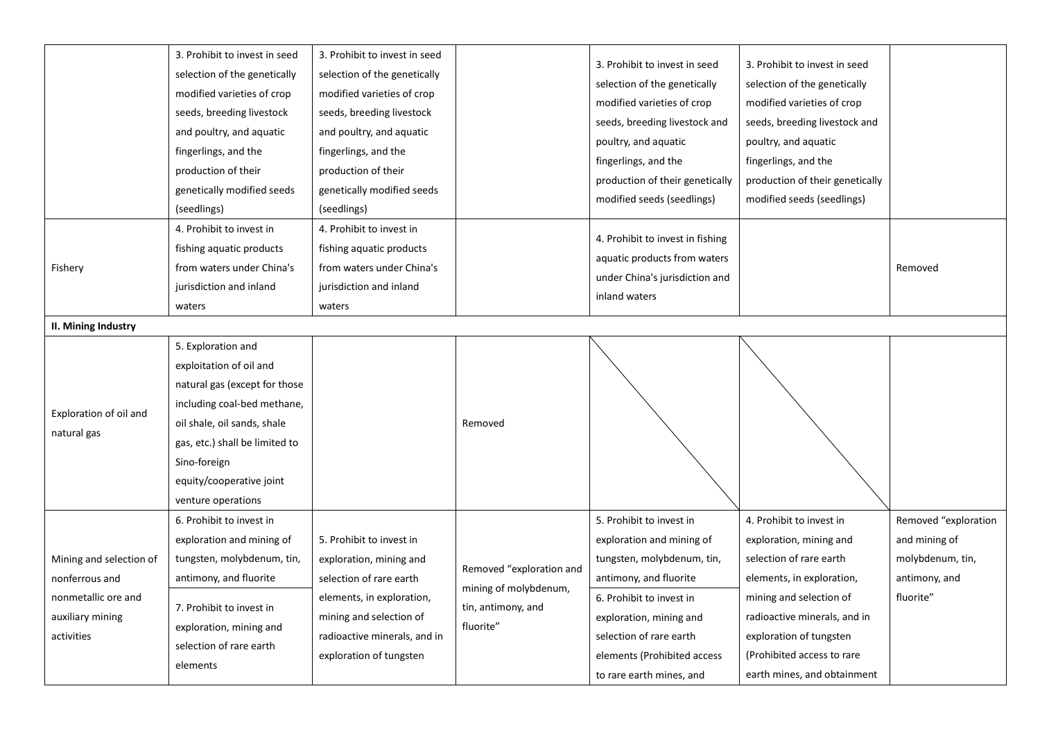|                                                                                                    | 3. Prohibit to invest in seed<br>selection of the genetically<br>modified varieties of crop<br>seeds, breeding livestock<br>and poultry, and aquatic<br>fingerlings, and the<br>production of their<br>genetically modified seeds<br>(seedlings) | 3. Prohibit to invest in seed<br>selection of the genetically<br>modified varieties of crop<br>seeds, breeding livestock<br>and poultry, and aquatic<br>fingerlings, and the<br>production of their<br>genetically modified seeds<br>(seedlings) |                                                                                      | 3. Prohibit to invest in seed<br>selection of the genetically<br>modified varieties of crop<br>seeds, breeding livestock and<br>poultry, and aquatic<br>fingerlings, and the<br>production of their genetically<br>modified seeds (seedlings)              | 3. Prohibit to invest in seed<br>selection of the genetically<br>modified varieties of crop<br>seeds, breeding livestock and<br>poultry, and aquatic<br>fingerlings, and the<br>production of their genetically<br>modified seeds (seedlings)                  |                                                                                         |
|----------------------------------------------------------------------------------------------------|--------------------------------------------------------------------------------------------------------------------------------------------------------------------------------------------------------------------------------------------------|--------------------------------------------------------------------------------------------------------------------------------------------------------------------------------------------------------------------------------------------------|--------------------------------------------------------------------------------------|------------------------------------------------------------------------------------------------------------------------------------------------------------------------------------------------------------------------------------------------------------|----------------------------------------------------------------------------------------------------------------------------------------------------------------------------------------------------------------------------------------------------------------|-----------------------------------------------------------------------------------------|
| Fishery                                                                                            | 4. Prohibit to invest in<br>fishing aquatic products<br>from waters under China's<br>jurisdiction and inland<br>waters                                                                                                                           | 4. Prohibit to invest in<br>fishing aquatic products<br>from waters under China's<br>jurisdiction and inland<br>waters                                                                                                                           |                                                                                      | 4. Prohibit to invest in fishing<br>aquatic products from waters<br>under China's jurisdiction and<br>inland waters                                                                                                                                        |                                                                                                                                                                                                                                                                | Removed                                                                                 |
| <b>II. Mining Industry</b>                                                                         |                                                                                                                                                                                                                                                  |                                                                                                                                                                                                                                                  |                                                                                      |                                                                                                                                                                                                                                                            |                                                                                                                                                                                                                                                                |                                                                                         |
| Exploration of oil and<br>natural gas                                                              | 5. Exploration and<br>exploitation of oil and<br>natural gas (except for those<br>including coal-bed methane,<br>oil shale, oil sands, shale<br>gas, etc.) shall be limited to<br>Sino-foreign<br>equity/cooperative joint<br>venture operations |                                                                                                                                                                                                                                                  | Removed                                                                              |                                                                                                                                                                                                                                                            |                                                                                                                                                                                                                                                                |                                                                                         |
| Mining and selection of<br>nonferrous and<br>nonmetallic ore and<br>auxiliary mining<br>activities | 6. Prohibit to invest in<br>exploration and mining of<br>tungsten, molybdenum, tin,<br>antimony, and fluorite<br>7. Prohibit to invest in<br>exploration, mining and<br>selection of rare earth<br>elements                                      | 5. Prohibit to invest in<br>exploration, mining and<br>selection of rare earth<br>elements, in exploration,<br>mining and selection of<br>radioactive minerals, and in<br>exploration of tungsten                                                | Removed "exploration and<br>mining of molybdenum,<br>tin, antimony, and<br>fluorite" | 5. Prohibit to invest in<br>exploration and mining of<br>tungsten, molybdenum, tin,<br>antimony, and fluorite<br>6. Prohibit to invest in<br>exploration, mining and<br>selection of rare earth<br>elements (Prohibited access<br>to rare earth mines, and | 4. Prohibit to invest in<br>exploration, mining and<br>selection of rare earth<br>elements, in exploration,<br>mining and selection of<br>radioactive minerals, and in<br>exploration of tungsten<br>(Prohibited access to rare<br>earth mines, and obtainment | Removed "exploration<br>and mining of<br>molybdenum, tin,<br>antimony, and<br>fluorite" |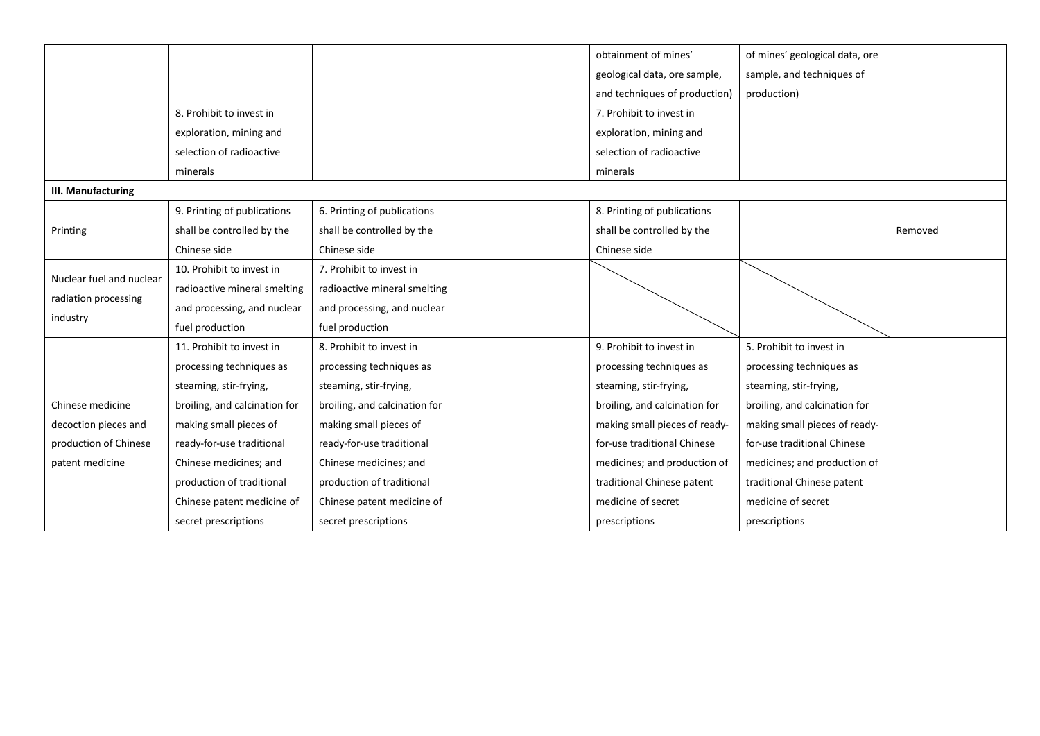|                          |                               |                               | obtainment of mines'          | of mines' geological data, ore |         |
|--------------------------|-------------------------------|-------------------------------|-------------------------------|--------------------------------|---------|
|                          |                               |                               | geological data, ore sample,  | sample, and techniques of      |         |
|                          |                               |                               | and techniques of production) | production)                    |         |
|                          | 8. Prohibit to invest in      |                               | 7. Prohibit to invest in      |                                |         |
|                          | exploration, mining and       |                               | exploration, mining and       |                                |         |
|                          | selection of radioactive      |                               | selection of radioactive      |                                |         |
|                          | minerals                      |                               | minerals                      |                                |         |
| III. Manufacturing       |                               |                               |                               |                                |         |
|                          | 9. Printing of publications   | 6. Printing of publications   | 8. Printing of publications   |                                |         |
| Printing                 | shall be controlled by the    | shall be controlled by the    | shall be controlled by the    |                                | Removed |
|                          | Chinese side                  | Chinese side                  | Chinese side                  |                                |         |
| Nuclear fuel and nuclear | 10. Prohibit to invest in     | 7. Prohibit to invest in      |                               |                                |         |
| radiation processing     | radioactive mineral smelting  | radioactive mineral smelting  |                               |                                |         |
|                          | and processing, and nuclear   | and processing, and nuclear   |                               |                                |         |
| industry                 | fuel production               | fuel production               |                               |                                |         |
|                          | 11. Prohibit to invest in     | 8. Prohibit to invest in      | 9. Prohibit to invest in      | 5. Prohibit to invest in       |         |
|                          | processing techniques as      | processing techniques as      | processing techniques as      | processing techniques as       |         |
|                          | steaming, stir-frying,        | steaming, stir-frying,        | steaming, stir-frying,        | steaming, stir-frying,         |         |
| Chinese medicine         | broiling, and calcination for | broiling, and calcination for | broiling, and calcination for | broiling, and calcination for  |         |
| decoction pieces and     | making small pieces of        | making small pieces of        | making small pieces of ready- | making small pieces of ready-  |         |
| production of Chinese    | ready-for-use traditional     | ready-for-use traditional     | for-use traditional Chinese   | for-use traditional Chinese    |         |
| patent medicine          | Chinese medicines; and        | Chinese medicines; and        | medicines; and production of  | medicines; and production of   |         |
|                          | production of traditional     | production of traditional     | traditional Chinese patent    | traditional Chinese patent     |         |
|                          | Chinese patent medicine of    | Chinese patent medicine of    | medicine of secret            | medicine of secret             |         |
|                          | secret prescriptions          | secret prescriptions          | prescriptions                 | prescriptions                  |         |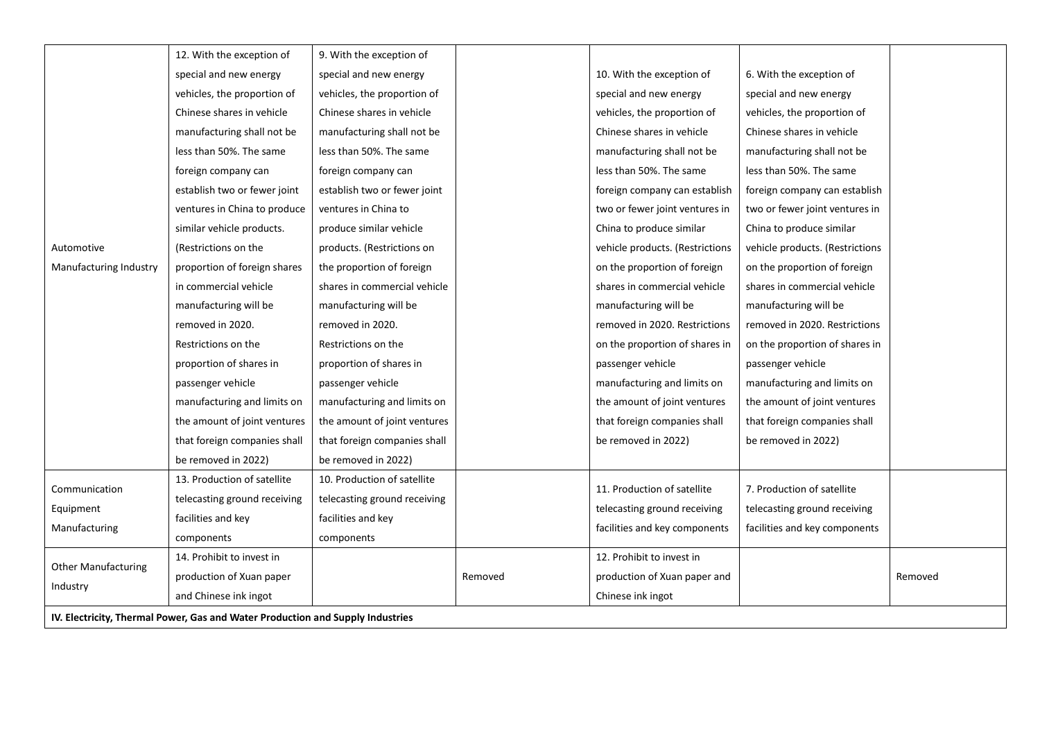|                            | 12. With the exception of                                                      | 9. With the exception of     |         |                                                               |                                                               |         |
|----------------------------|--------------------------------------------------------------------------------|------------------------------|---------|---------------------------------------------------------------|---------------------------------------------------------------|---------|
|                            | special and new energy                                                         | special and new energy       |         | 10. With the exception of                                     | 6. With the exception of                                      |         |
|                            | vehicles, the proportion of                                                    | vehicles, the proportion of  |         | special and new energy                                        | special and new energy                                        |         |
|                            | Chinese shares in vehicle                                                      | Chinese shares in vehicle    |         | vehicles, the proportion of                                   | vehicles, the proportion of                                   |         |
|                            | manufacturing shall not be                                                     | manufacturing shall not be   |         | Chinese shares in vehicle                                     | Chinese shares in vehicle                                     |         |
|                            | less than 50%. The same                                                        | less than 50%. The same      |         | manufacturing shall not be                                    | manufacturing shall not be                                    |         |
|                            | foreign company can                                                            | foreign company can          |         | less than 50%. The same                                       | less than 50%. The same                                       |         |
|                            | establish two or fewer joint                                                   | establish two or fewer joint |         | foreign company can establish                                 | foreign company can establish                                 |         |
|                            | ventures in China to produce                                                   | ventures in China to         |         | two or fewer joint ventures in                                | two or fewer joint ventures in                                |         |
|                            | similar vehicle products.                                                      | produce similar vehicle      |         | China to produce similar                                      | China to produce similar                                      |         |
| Automotive                 | (Restrictions on the                                                           | products. (Restrictions on   |         | vehicle products. (Restrictions                               | vehicle products. (Restrictions                               |         |
| Manufacturing Industry     | proportion of foreign shares                                                   | the proportion of foreign    |         | on the proportion of foreign                                  | on the proportion of foreign                                  |         |
|                            | in commercial vehicle                                                          | shares in commercial vehicle |         | shares in commercial vehicle                                  | shares in commercial vehicle                                  |         |
|                            | manufacturing will be                                                          | manufacturing will be        |         | manufacturing will be                                         | manufacturing will be                                         |         |
|                            | removed in 2020.                                                               | removed in 2020.             |         | removed in 2020. Restrictions                                 | removed in 2020. Restrictions                                 |         |
|                            | Restrictions on the                                                            | Restrictions on the          |         | on the proportion of shares in                                | on the proportion of shares in                                |         |
|                            | proportion of shares in                                                        | proportion of shares in      |         | passenger vehicle                                             | passenger vehicle                                             |         |
|                            | passenger vehicle                                                              | passenger vehicle            |         | manufacturing and limits on                                   | manufacturing and limits on                                   |         |
|                            | manufacturing and limits on                                                    | manufacturing and limits on  |         | the amount of joint ventures                                  | the amount of joint ventures                                  |         |
|                            | the amount of joint ventures                                                   | the amount of joint ventures |         | that foreign companies shall                                  | that foreign companies shall                                  |         |
|                            | that foreign companies shall                                                   | that foreign companies shall |         | be removed in 2022)                                           | be removed in 2022)                                           |         |
|                            | be removed in 2022)                                                            | be removed in 2022)          |         |                                                               |                                                               |         |
| Communication              | 13. Production of satellite                                                    | 10. Production of satellite  |         | 11. Production of satellite                                   | 7. Production of satellite                                    |         |
|                            | telecasting ground receiving                                                   | telecasting ground receiving |         |                                                               |                                                               |         |
| Equipment<br>Manufacturing | facilities and key                                                             | facilities and key           |         | telecasting ground receiving<br>facilities and key components | telecasting ground receiving<br>facilities and key components |         |
|                            | components                                                                     | components                   |         |                                                               |                                                               |         |
| <b>Other Manufacturing</b> | 14. Prohibit to invest in                                                      |                              |         | 12. Prohibit to invest in                                     |                                                               |         |
|                            | production of Xuan paper                                                       |                              | Removed | production of Xuan paper and                                  |                                                               | Removed |
| Industry                   | and Chinese ink ingot                                                          |                              |         | Chinese ink ingot                                             |                                                               |         |
|                            | IV. Electricity, Thermal Power, Gas and Water Production and Supply Industries |                              |         |                                                               |                                                               |         |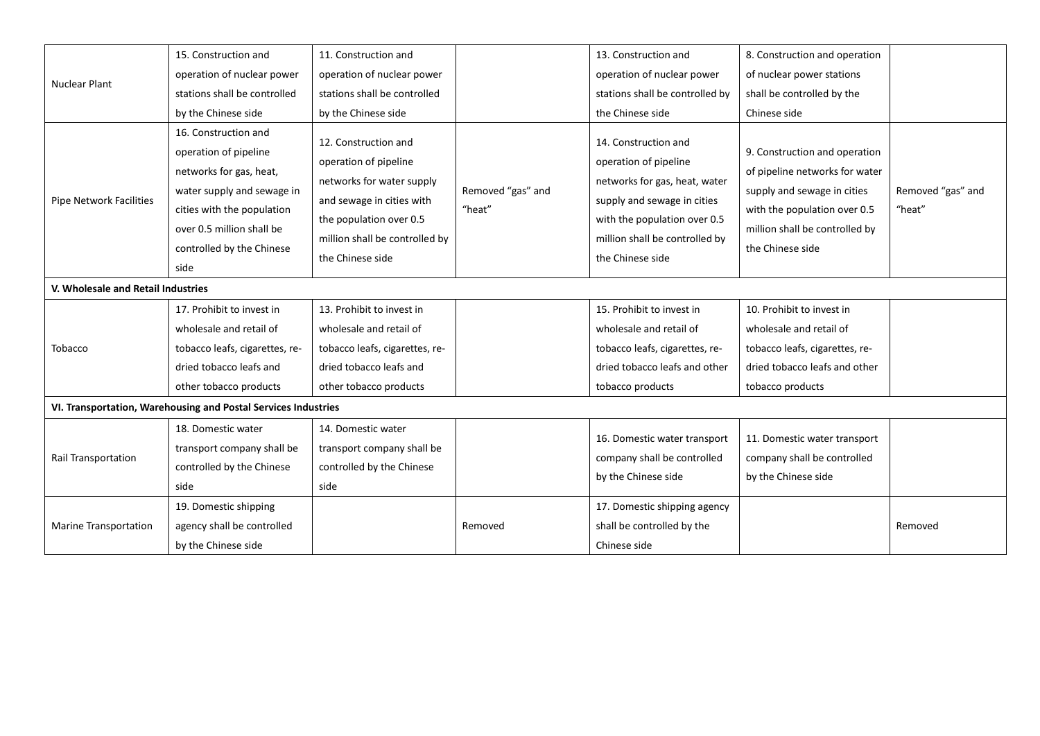|                                    | 15. Construction and                                                                                                                                                                                   | 11. Construction and                                                                                                                                                                     |                             | 13. Construction and                                                                                                                                                                                | 8. Construction and operation                                                                                                                                                        |                             |
|------------------------------------|--------------------------------------------------------------------------------------------------------------------------------------------------------------------------------------------------------|------------------------------------------------------------------------------------------------------------------------------------------------------------------------------------------|-----------------------------|-----------------------------------------------------------------------------------------------------------------------------------------------------------------------------------------------------|--------------------------------------------------------------------------------------------------------------------------------------------------------------------------------------|-----------------------------|
|                                    | operation of nuclear power                                                                                                                                                                             | operation of nuclear power                                                                                                                                                               |                             | operation of nuclear power                                                                                                                                                                          | of nuclear power stations                                                                                                                                                            |                             |
| <b>Nuclear Plant</b>               | stations shall be controlled                                                                                                                                                                           | stations shall be controlled                                                                                                                                                             |                             | stations shall be controlled by                                                                                                                                                                     | shall be controlled by the                                                                                                                                                           |                             |
|                                    | by the Chinese side                                                                                                                                                                                    | by the Chinese side                                                                                                                                                                      |                             | the Chinese side                                                                                                                                                                                    | Chinese side                                                                                                                                                                         |                             |
| Pipe Network Facilities            | 16. Construction and<br>operation of pipeline<br>networks for gas, heat,<br>water supply and sewage in<br>cities with the population<br>over 0.5 million shall be<br>controlled by the Chinese<br>side | 12. Construction and<br>operation of pipeline<br>networks for water supply<br>and sewage in cities with<br>the population over 0.5<br>million shall be controlled by<br>the Chinese side | Removed "gas" and<br>"heat" | 14. Construction and<br>operation of pipeline<br>networks for gas, heat, water<br>supply and sewage in cities<br>with the population over 0.5<br>million shall be controlled by<br>the Chinese side | 9. Construction and operation<br>of pipeline networks for water<br>supply and sewage in cities<br>with the population over 0.5<br>million shall be controlled by<br>the Chinese side | Removed "gas" and<br>"heat" |
| V. Wholesale and Retail Industries |                                                                                                                                                                                                        |                                                                                                                                                                                          |                             |                                                                                                                                                                                                     |                                                                                                                                                                                      |                             |
|                                    | 17. Prohibit to invest in<br>wholesale and retail of                                                                                                                                                   | 13. Prohibit to invest in<br>wholesale and retail of                                                                                                                                     |                             | 15. Prohibit to invest in<br>wholesale and retail of                                                                                                                                                | 10. Prohibit to invest in<br>wholesale and retail of                                                                                                                                 |                             |
| Tobacco                            | tobacco leafs, cigarettes, re-                                                                                                                                                                         | tobacco leafs, cigarettes, re-                                                                                                                                                           |                             | tobacco leafs, cigarettes, re-                                                                                                                                                                      | tobacco leafs, cigarettes, re-                                                                                                                                                       |                             |
|                                    | dried tobacco leafs and                                                                                                                                                                                | dried tobacco leafs and                                                                                                                                                                  |                             | dried tobacco leafs and other                                                                                                                                                                       | dried tobacco leafs and other                                                                                                                                                        |                             |
|                                    | other tobacco products                                                                                                                                                                                 | other tobacco products                                                                                                                                                                   |                             | tobacco products                                                                                                                                                                                    | tobacco products                                                                                                                                                                     |                             |
|                                    | VI. Transportation, Warehousing and Postal Services Industries                                                                                                                                         |                                                                                                                                                                                          |                             |                                                                                                                                                                                                     |                                                                                                                                                                                      |                             |
| Rail Transportation                | 18. Domestic water<br>transport company shall be<br>controlled by the Chinese<br>side                                                                                                                  | 14. Domestic water<br>transport company shall be<br>controlled by the Chinese<br>side                                                                                                    |                             | 16. Domestic water transport<br>company shall be controlled<br>by the Chinese side                                                                                                                  | 11. Domestic water transport<br>company shall be controlled<br>by the Chinese side                                                                                                   |                             |
| Marine Transportation              | 19. Domestic shipping<br>agency shall be controlled<br>by the Chinese side                                                                                                                             |                                                                                                                                                                                          | Removed                     | 17. Domestic shipping agency<br>shall be controlled by the<br>Chinese side                                                                                                                          |                                                                                                                                                                                      | Removed                     |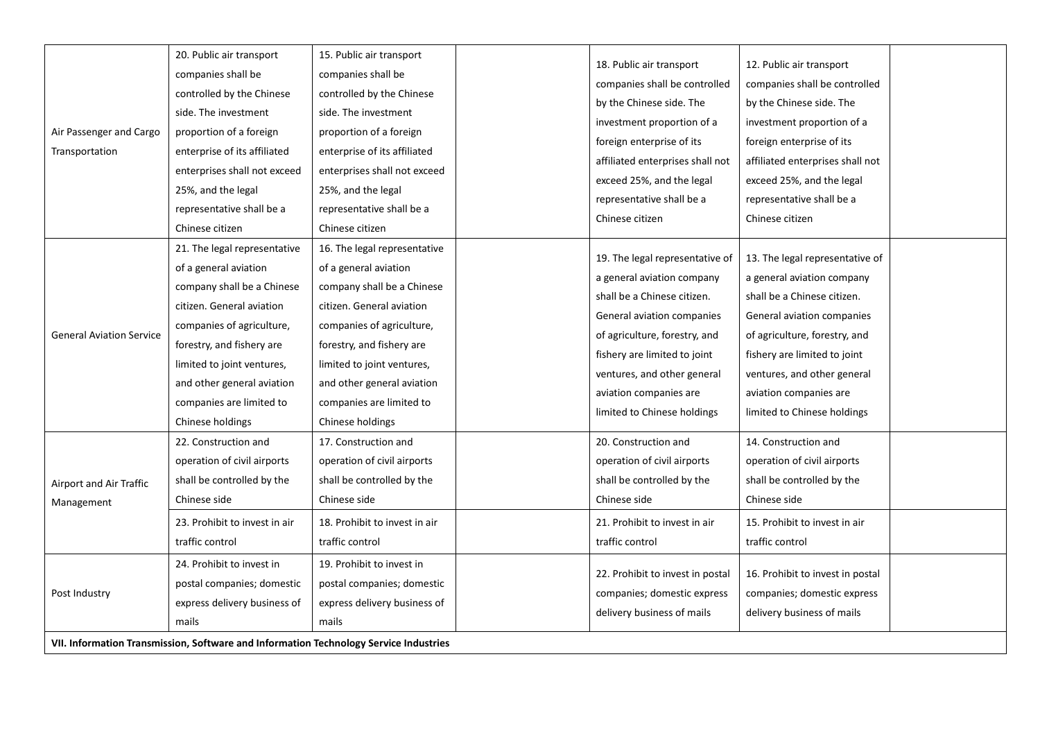| Air Passenger and Cargo<br>Transportation              | 20. Public air transport<br>companies shall be<br>controlled by the Chinese<br>side. The investment<br>proportion of a foreign<br>enterprise of its affiliated<br>enterprises shall not exceed<br>25%, and the legal<br>representative shall be a<br>Chinese citizen                   | 15. Public air transport<br>companies shall be<br>controlled by the Chinese<br>side. The investment<br>proportion of a foreign<br>enterprise of its affiliated<br>enterprises shall not exceed<br>25%, and the legal<br>representative shall be a<br>Chinese citizen                   | 18. Public air transport<br>companies shall be controlled<br>by the Chinese side. The<br>investment proportion of a<br>foreign enterprise of its<br>affiliated enterprises shall not<br>exceed 25%, and the legal<br>representative shall be a<br>Chinese citizen                   | 12. Public air transport<br>companies shall be controlled<br>by the Chinese side. The<br>investment proportion of a<br>foreign enterprise of its<br>affiliated enterprises shall not<br>exceed 25%, and the legal<br>representative shall be a<br>Chinese citizen                   |  |
|--------------------------------------------------------|----------------------------------------------------------------------------------------------------------------------------------------------------------------------------------------------------------------------------------------------------------------------------------------|----------------------------------------------------------------------------------------------------------------------------------------------------------------------------------------------------------------------------------------------------------------------------------------|-------------------------------------------------------------------------------------------------------------------------------------------------------------------------------------------------------------------------------------------------------------------------------------|-------------------------------------------------------------------------------------------------------------------------------------------------------------------------------------------------------------------------------------------------------------------------------------|--|
| <b>General Aviation Service</b>                        | 21. The legal representative<br>of a general aviation<br>company shall be a Chinese<br>citizen. General aviation<br>companies of agriculture,<br>forestry, and fishery are<br>limited to joint ventures,<br>and other general aviation<br>companies are limited to<br>Chinese holdings | 16. The legal representative<br>of a general aviation<br>company shall be a Chinese<br>citizen. General aviation<br>companies of agriculture,<br>forestry, and fishery are<br>limited to joint ventures,<br>and other general aviation<br>companies are limited to<br>Chinese holdings | 19. The legal representative of<br>a general aviation company<br>shall be a Chinese citizen.<br>General aviation companies<br>of agriculture, forestry, and<br>fishery are limited to joint<br>ventures, and other general<br>aviation companies are<br>limited to Chinese holdings | 13. The legal representative of<br>a general aviation company<br>shall be a Chinese citizen.<br>General aviation companies<br>of agriculture, forestry, and<br>fishery are limited to joint<br>ventures, and other general<br>aviation companies are<br>limited to Chinese holdings |  |
| Airport and Air Traffic<br>Management<br>Post Industry | 22. Construction and<br>operation of civil airports<br>shall be controlled by the<br>Chinese side<br>23. Prohibit to invest in air<br>traffic control<br>24. Prohibit to invest in<br>postal companies; domestic<br>express delivery business of<br>mails                              | 17. Construction and<br>operation of civil airports<br>shall be controlled by the<br>Chinese side<br>18. Prohibit to invest in air<br>traffic control<br>19. Prohibit to invest in<br>postal companies; domestic<br>express delivery business of<br>mails                              | 20. Construction and<br>operation of civil airports<br>shall be controlled by the<br>Chinese side<br>21. Prohibit to invest in air<br>traffic control<br>22. Prohibit to invest in postal<br>companies; domestic express<br>delivery business of mails                              | 14. Construction and<br>operation of civil airports<br>shall be controlled by the<br>Chinese side<br>15. Prohibit to invest in air<br>traffic control<br>16. Prohibit to invest in postal<br>companies; domestic express<br>delivery business of mails                              |  |
|                                                        | VII. Information Transmission, Software and Information Technology Service Industries                                                                                                                                                                                                  |                                                                                                                                                                                                                                                                                        |                                                                                                                                                                                                                                                                                     |                                                                                                                                                                                                                                                                                     |  |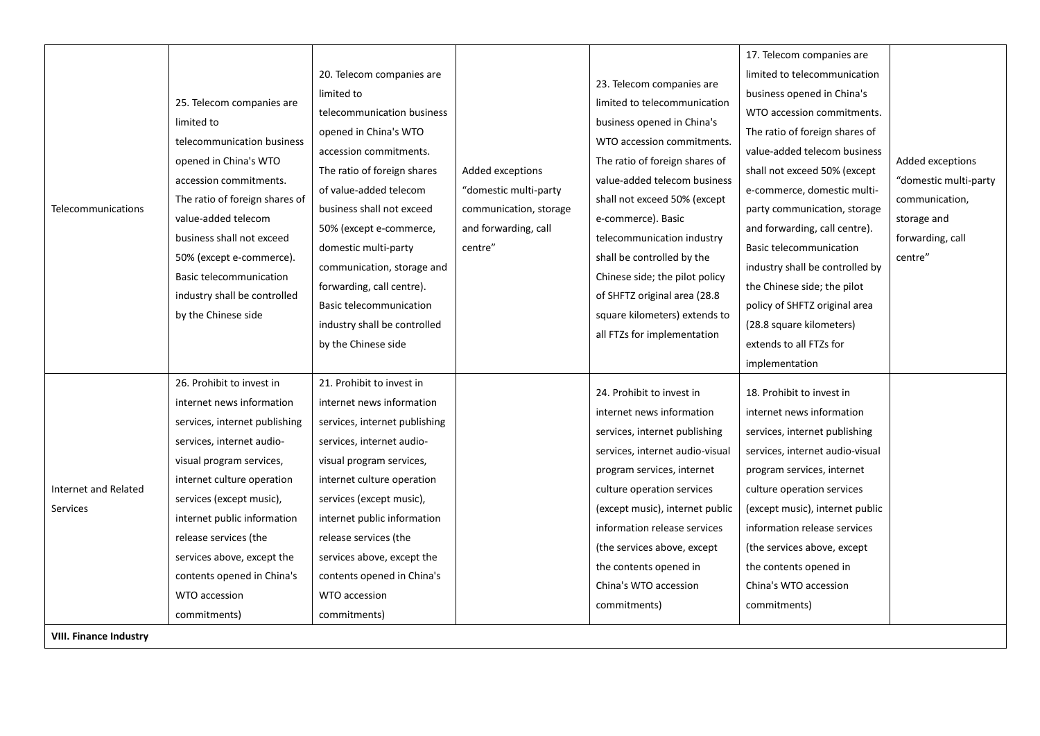|                               |                                                                       |                                                       |                                           |                                                                                              | 17. Telecom companies are                                   |                       |
|-------------------------------|-----------------------------------------------------------------------|-------------------------------------------------------|-------------------------------------------|----------------------------------------------------------------------------------------------|-------------------------------------------------------------|-----------------------|
|                               | 25. Telecom companies are<br>limited to<br>telecommunication business | 20. Telecom companies are                             |                                           |                                                                                              | limited to telecommunication                                |                       |
|                               |                                                                       | limited to                                            |                                           | 23. Telecom companies are                                                                    | business opened in China's                                  |                       |
|                               |                                                                       | telecommunication business                            |                                           | limited to telecommunication                                                                 | WTO accession commitments.                                  |                       |
|                               |                                                                       | opened in China's WTO                                 |                                           | business opened in China's<br>WTO accession commitments                                      | The ratio of foreign shares of                              |                       |
| Telecommunications            | opened in China's WTO                                                 | accession commitments.                                |                                           | The ratio of foreign shares of                                                               | value-added telecom business                                | Added exceptions      |
|                               | accession commitments.                                                | The ratio of foreign shares<br>of value-added telecom | Added exceptions<br>"domestic multi-party | value-added telecom business                                                                 | shall not exceed 50% (except<br>e-commerce, domestic multi- | "domestic multi-party |
|                               | The ratio of foreign shares of                                        | business shall not exceed                             | communication, storage                    | shall not exceed 50% (except                                                                 | party communication, storage                                | communication,        |
|                               | value-added telecom                                                   | 50% (except e-commerce,                               | and forwarding, call                      | e-commerce). Basic                                                                           | and forwarding, call centre).                               | storage and           |
|                               | business shall not exceed<br>50% (except e-commerce).                 | domestic multi-party                                  | centre"                                   | telecommunication industry<br>shall be controlled by the                                     | <b>Basic telecommunication</b>                              | forwarding, call      |
|                               | <b>Basic telecommunication</b>                                        | communication, storage and                            |                                           | Chinese side; the pilot policy                                                               | industry shall be controlled by                             | centre"               |
|                               | industry shall be controlled<br>by the Chinese side                   | forwarding, call centre).                             |                                           | of SHFTZ original area (28.8<br>square kilometers) extends to<br>all FTZs for implementation | the Chinese side; the pilot                                 |                       |
|                               |                                                                       | <b>Basic telecommunication</b>                        |                                           |                                                                                              | policy of SHFTZ original area                               |                       |
|                               |                                                                       | industry shall be controlled                          |                                           |                                                                                              | (28.8 square kilometers)                                    |                       |
|                               |                                                                       | by the Chinese side                                   |                                           |                                                                                              | extends to all FTZs for                                     |                       |
|                               |                                                                       |                                                       |                                           |                                                                                              | implementation                                              |                       |
|                               | 26. Prohibit to invest in                                             | 21. Prohibit to invest in                             |                                           | 24. Prohibit to invest in                                                                    | 18. Prohibit to invest in                                   |                       |
|                               | internet news information                                             | internet news information                             |                                           | internet news information                                                                    | internet news information                                   |                       |
|                               | services, internet publishing                                         | services, internet publishing                         |                                           | services, internet publishing                                                                | services, internet publishing                               |                       |
|                               | services, internet audio-                                             | services, internet audio-                             |                                           | services, internet audio-visual                                                              | services, internet audio-visual                             |                       |
|                               | visual program services,                                              | visual program services,                              |                                           | program services, internet                                                                   | program services, internet                                  |                       |
| Internet and Related          | internet culture operation                                            | internet culture operation                            |                                           | culture operation services                                                                   | culture operation services                                  |                       |
| Services                      | services (except music),                                              | services (except music),                              |                                           | (except music), internet public                                                              | (except music), internet public                             |                       |
|                               | internet public information                                           | internet public information                           |                                           | information release services                                                                 | information release services                                |                       |
|                               | release services (the                                                 | release services (the                                 |                                           | (the services above, except                                                                  | (the services above, except)                                |                       |
|                               | services above, except the                                            | services above, except the                            |                                           | the contents opened in                                                                       | the contents opened in                                      |                       |
|                               | contents opened in China's                                            | contents opened in China's                            |                                           | China's WTO accession                                                                        | China's WTO accession                                       |                       |
|                               | WTO accession                                                         | WTO accession                                         |                                           | commitments)                                                                                 | commitments)                                                |                       |
|                               | commitments)                                                          | commitments)                                          |                                           |                                                                                              |                                                             |                       |
| <b>VIII. Finance Industry</b> |                                                                       |                                                       |                                           |                                                                                              |                                                             |                       |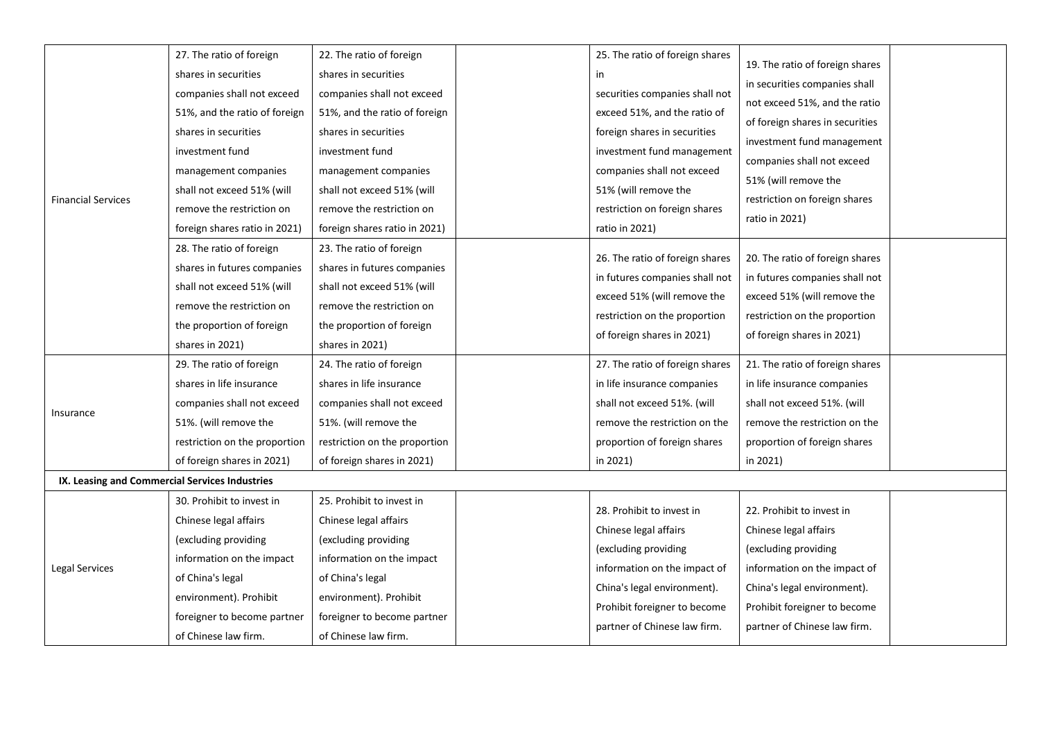|                                                | 27. The ratio of foreign      | 22. The ratio of foreign      |                      | 25. The ratio of foreign shares |                                 |  |
|------------------------------------------------|-------------------------------|-------------------------------|----------------------|---------------------------------|---------------------------------|--|
|                                                | shares in securities          | shares in securities          |                      | in                              | 19. The ratio of foreign shares |  |
|                                                | companies shall not exceed    | companies shall not exceed    |                      | securities companies shall not  | in securities companies shall   |  |
|                                                | 51%, and the ratio of foreign | 51%, and the ratio of foreign |                      | exceed 51%, and the ratio of    | not exceed 51%, and the ratio   |  |
|                                                | shares in securities          | shares in securities          |                      | foreign shares in securities    | of foreign shares in securities |  |
|                                                | investment fund               | investment fund               |                      | investment fund management      | investment fund management      |  |
|                                                | management companies          | management companies          |                      | companies shall not exceed      | companies shall not exceed      |  |
|                                                | shall not exceed 51% (will    | shall not exceed 51% (will    | 51% (will remove the | 51% (will remove the            |                                 |  |
| <b>Financial Services</b>                      | remove the restriction on     | remove the restriction on     |                      | restriction on foreign shares   | restriction on foreign shares   |  |
|                                                | foreign shares ratio in 2021) | foreign shares ratio in 2021) |                      | ratio in 2021)                  | ratio in 2021)                  |  |
|                                                | 28. The ratio of foreign      | 23. The ratio of foreign      |                      |                                 |                                 |  |
|                                                | shares in futures companies   | shares in futures companies   |                      | 26. The ratio of foreign shares | 20. The ratio of foreign shares |  |
|                                                | shall not exceed 51% (will    | shall not exceed 51% (will    |                      | in futures companies shall not  | in futures companies shall not  |  |
|                                                | remove the restriction on     | remove the restriction on     |                      | exceed 51% (will remove the     | exceed 51% (will remove the     |  |
|                                                | the proportion of foreign     | the proportion of foreign     |                      | restriction on the proportion   | restriction on the proportion   |  |
|                                                | shares in 2021)               | shares in 2021)               |                      | of foreign shares in 2021)      | of foreign shares in 2021)      |  |
|                                                | 29. The ratio of foreign      | 24. The ratio of foreign      |                      | 27. The ratio of foreign shares | 21. The ratio of foreign shares |  |
|                                                | shares in life insurance      | shares in life insurance      |                      | in life insurance companies     | in life insurance companies     |  |
|                                                | companies shall not exceed    | companies shall not exceed    |                      | shall not exceed 51%. (will     | shall not exceed 51%. (will     |  |
| Insurance                                      | 51%. (will remove the         | 51%. (will remove the         |                      | remove the restriction on the   | remove the restriction on the   |  |
|                                                | restriction on the proportion | restriction on the proportion |                      | proportion of foreign shares    | proportion of foreign shares    |  |
|                                                | of foreign shares in 2021)    | of foreign shares in 2021)    |                      | in 2021)                        | in 2021)                        |  |
| IX. Leasing and Commercial Services Industries |                               |                               |                      |                                 |                                 |  |
|                                                | 30. Prohibit to invest in     | 25. Prohibit to invest in     |                      |                                 |                                 |  |
|                                                | Chinese legal affairs         | Chinese legal affairs         |                      | 28. Prohibit to invest in       | 22. Prohibit to invest in       |  |
|                                                | (excluding providing          | (excluding providing          |                      | Chinese legal affairs           | Chinese legal affairs           |  |
|                                                | information on the impact     | information on the impact     |                      | (excluding providing            | (excluding providing)           |  |
| Legal Services                                 | of China's legal              | of China's legal              |                      | information on the impact of    | information on the impact of    |  |
|                                                | environment). Prohibit        | environment). Prohibit        |                      | China's legal environment).     | China's legal environment).     |  |
|                                                | foreigner to become partner   | foreigner to become partner   |                      | Prohibit foreigner to become    | Prohibit foreigner to become    |  |
|                                                | of Chinese law firm.          | of Chinese law firm.          |                      | partner of Chinese law firm.    | partner of Chinese law firm.    |  |
|                                                |                               |                               |                      |                                 |                                 |  |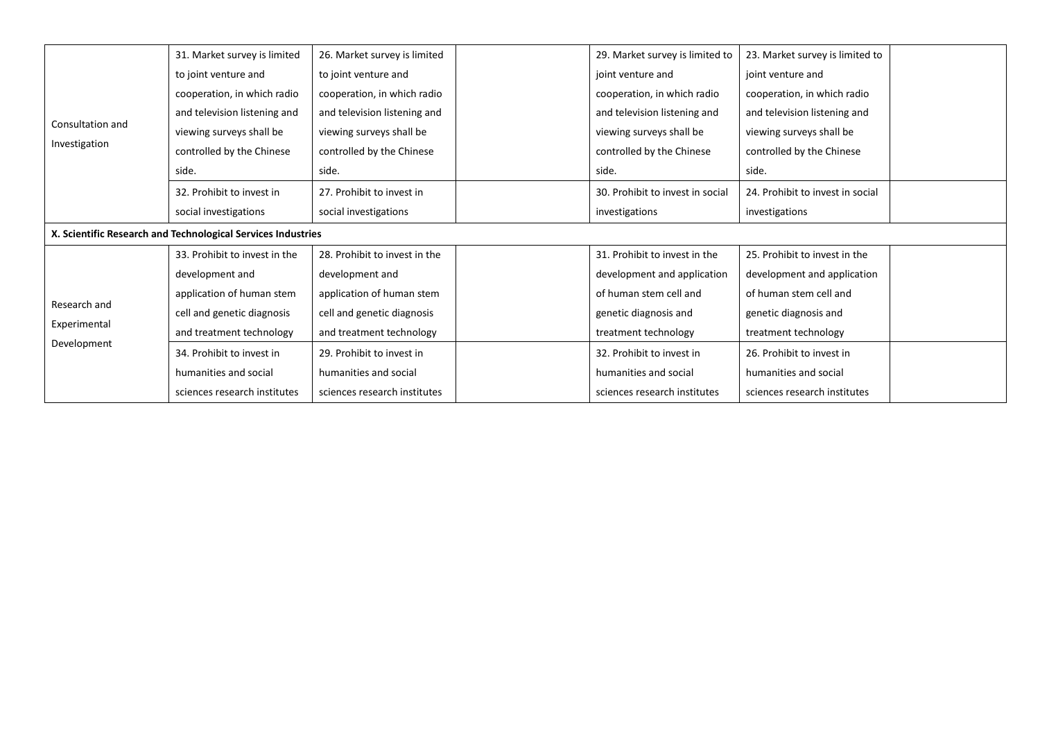|                  | 31. Market survey is limited                                 | 26. Market survey is limited  | 29. Market survey is limited to  | 23. Market survey is limited to  |  |
|------------------|--------------------------------------------------------------|-------------------------------|----------------------------------|----------------------------------|--|
|                  | to joint venture and                                         | to joint venture and          | joint venture and                | joint venture and                |  |
|                  | cooperation, in which radio                                  | cooperation, in which radio   | cooperation, in which radio      | cooperation, in which radio      |  |
|                  | and television listening and                                 | and television listening and  | and television listening and     | and television listening and     |  |
| Consultation and | viewing surveys shall be                                     | viewing surveys shall be      | viewing surveys shall be         | viewing surveys shall be         |  |
| Investigation    | controlled by the Chinese                                    | controlled by the Chinese     | controlled by the Chinese        | controlled by the Chinese        |  |
|                  | side.                                                        | side.                         | side.                            | side.                            |  |
|                  | 32. Prohibit to invest in                                    | 27. Prohibit to invest in     | 30. Prohibit to invest in social | 24. Prohibit to invest in social |  |
|                  | social investigations                                        | social investigations         | investigations                   | investigations                   |  |
|                  | X. Scientific Research and Technological Services Industries |                               |                                  |                                  |  |
|                  | 33. Prohibit to invest in the                                | 28. Prohibit to invest in the | 31. Prohibit to invest in the    | 25. Prohibit to invest in the    |  |
|                  | development and                                              | development and               | development and application      | development and application      |  |
|                  | application of human stem                                    | application of human stem     | of human stem cell and           | of human stem cell and           |  |
| Research and     | cell and genetic diagnosis                                   | cell and genetic diagnosis    | genetic diagnosis and            | genetic diagnosis and            |  |
| Experimental     | and treatment technology                                     | and treatment technology      | treatment technology             | treatment technology             |  |
| Development      | 34. Prohibit to invest in                                    | 29. Prohibit to invest in     | 32. Prohibit to invest in        | 26. Prohibit to invest in        |  |
|                  | humanities and social                                        | humanities and social         | humanities and social            | humanities and social            |  |
|                  | sciences research institutes                                 | sciences research institutes  | sciences research institutes     | sciences research institutes     |  |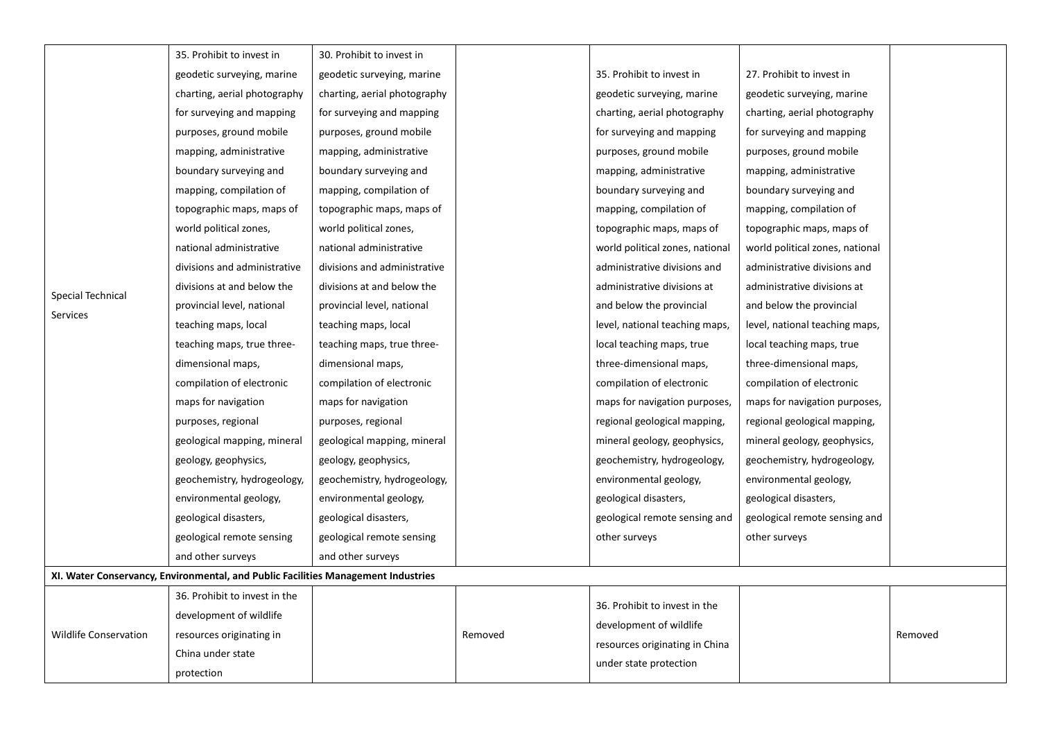|                               | 35. Prohibit to invest in                                                         | 30. Prohibit to invest in    |         |                                                          |                                 |         |
|-------------------------------|-----------------------------------------------------------------------------------|------------------------------|---------|----------------------------------------------------------|---------------------------------|---------|
|                               | geodetic surveying, marine                                                        | geodetic surveying, marine   |         | 35. Prohibit to invest in                                | 27. Prohibit to invest in       |         |
|                               | charting, aerial photography                                                      | charting, aerial photography |         | geodetic surveying, marine                               | geodetic surveying, marine      |         |
|                               | for surveying and mapping                                                         | for surveying and mapping    |         | charting, aerial photography                             | charting, aerial photography    |         |
|                               | purposes, ground mobile                                                           | purposes, ground mobile      |         | for surveying and mapping                                | for surveying and mapping       |         |
|                               | mapping, administrative                                                           | mapping, administrative      |         | purposes, ground mobile                                  | purposes, ground mobile         |         |
|                               | boundary surveying and                                                            | boundary surveying and       |         | mapping, administrative                                  | mapping, administrative         |         |
|                               | mapping, compilation of                                                           | mapping, compilation of      |         | boundary surveying and                                   | boundary surveying and          |         |
|                               | topographic maps, maps of                                                         | topographic maps, maps of    |         | mapping, compilation of                                  | mapping, compilation of         |         |
|                               | world political zones,                                                            | world political zones,       |         | topographic maps, maps of                                | topographic maps, maps of       |         |
|                               | national administrative                                                           | national administrative      |         | world political zones, national                          | world political zones, national |         |
| Special Technical<br>Services | divisions and administrative                                                      | divisions and administrative |         | administrative divisions and                             | administrative divisions and    |         |
|                               | divisions at and below the                                                        | divisions at and below the   |         | administrative divisions at                              | administrative divisions at     |         |
|                               | provincial level, national                                                        | provincial level, national   |         | and below the provincial                                 | and below the provincial        |         |
|                               | teaching maps, local                                                              | teaching maps, local         |         | level, national teaching maps,                           | level, national teaching maps,  |         |
|                               | teaching maps, true three-                                                        | teaching maps, true three-   |         | local teaching maps, true                                | local teaching maps, true       |         |
|                               | dimensional maps,                                                                 | dimensional maps,            |         | three-dimensional maps,                                  | three-dimensional maps,         |         |
|                               | compilation of electronic                                                         | compilation of electronic    |         | compilation of electronic                                | compilation of electronic       |         |
|                               | maps for navigation                                                               | maps for navigation          |         | maps for navigation purposes,                            | maps for navigation purposes,   |         |
|                               | purposes, regional                                                                | purposes, regional           |         | regional geological mapping,                             | regional geological mapping,    |         |
|                               | geological mapping, mineral                                                       | geological mapping, mineral  |         | mineral geology, geophysics,                             | mineral geology, geophysics,    |         |
|                               | geology, geophysics,                                                              | geology, geophysics,         |         | geochemistry, hydrogeology,                              | geochemistry, hydrogeology,     |         |
|                               | geochemistry, hydrogeology,                                                       | geochemistry, hydrogeology,  |         | environmental geology,                                   | environmental geology,          |         |
|                               | environmental geology,                                                            | environmental geology,       |         | geological disasters,                                    | geological disasters,           |         |
|                               | geological disasters,                                                             | geological disasters,        |         | geological remote sensing and                            | geological remote sensing and   |         |
|                               | geological remote sensing                                                         | geological remote sensing    |         | other surveys                                            | other surveys                   |         |
|                               | and other surveys                                                                 | and other surveys            |         |                                                          |                                 |         |
|                               | XI. Water Conservancy, Environmental, and Public Facilities Management Industries |                              |         |                                                          |                                 |         |
|                               | 36. Prohibit to invest in the                                                     |                              |         | 36. Prohibit to invest in the                            |                                 |         |
|                               | development of wildlife                                                           |                              |         |                                                          |                                 |         |
| <b>Wildlife Conservation</b>  | resources originating in                                                          |                              | Removed | development of wildlife                                  |                                 | Removed |
|                               | China under state                                                                 |                              |         | resources originating in China<br>under state protection |                                 |         |
|                               | protection                                                                        |                              |         |                                                          |                                 |         |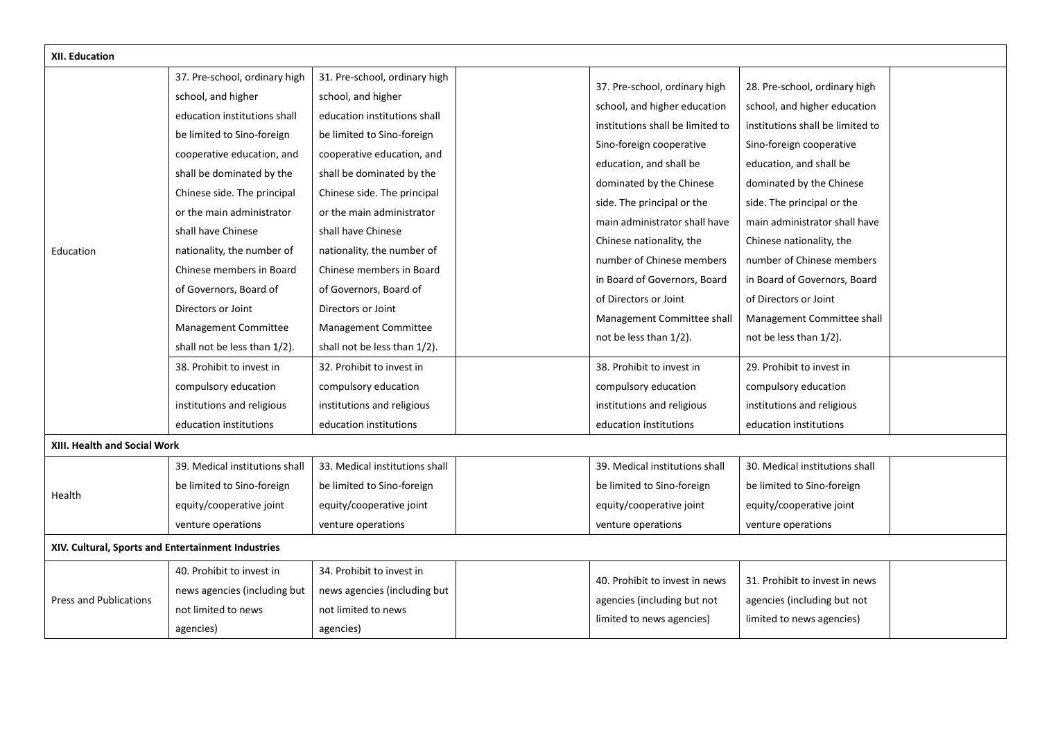| XII. Education                                     |                                |                                |  |                                  |                                  |  |
|----------------------------------------------------|--------------------------------|--------------------------------|--|----------------------------------|----------------------------------|--|
|                                                    | 37. Pre-school, ordinary high  | 31. Pre-school, ordinary high  |  | 37. Pre-school, ordinary high    | 28. Pre-school, ordinary high    |  |
|                                                    | school, and higher             | school, and higher             |  |                                  |                                  |  |
|                                                    | education institutions shall   | education institutions shall   |  | school, and higher education     | school, and higher education     |  |
|                                                    | be limited to Sino-foreign     | be limited to Sino-foreign     |  | institutions shall be limited to | institutions shall be limited to |  |
|                                                    | cooperative education, and     | cooperative education, and     |  | Sino-foreign cooperative         | Sino-foreign cooperative         |  |
|                                                    | shall be dominated by the      | shall be dominated by the      |  | education, and shall be          | education, and shall be          |  |
|                                                    | Chinese side. The principal    | Chinese side. The principal    |  | dominated by the Chinese         | dominated by the Chinese         |  |
|                                                    | or the main administrator      | or the main administrator      |  | side. The principal or the       | side. The principal or the       |  |
|                                                    | shall have Chinese             | shall have Chinese             |  | main administrator shall have    | main administrator shall have    |  |
| Education                                          | nationality, the number of     | nationality, the number of     |  | Chinese nationality, the         | Chinese nationality, the         |  |
|                                                    | Chinese members in Board       | Chinese members in Board       |  | number of Chinese members        | number of Chinese members        |  |
|                                                    | of Governors, Board of         | of Governors, Board of         |  | in Board of Governors, Board     | in Board of Governors, Board     |  |
|                                                    | Directors or Joint             | Directors or Joint             |  | of Directors or Joint            | of Directors or Joint            |  |
|                                                    | Management Committee           | Management Committee           |  | Management Committee shall       | Management Committee shall       |  |
|                                                    | shall not be less than 1/2).   | shall not be less than 1/2).   |  | not be less than 1/2).           | not be less than 1/2).           |  |
|                                                    | 38. Prohibit to invest in      | 32. Prohibit to invest in      |  | 38. Prohibit to invest in        | 29. Prohibit to invest in        |  |
|                                                    | compulsory education           | compulsory education           |  | compulsory education             | compulsory education             |  |
|                                                    | institutions and religious     | institutions and religious     |  | institutions and religious       | institutions and religious       |  |
|                                                    | education institutions         | education institutions         |  | education institutions           | education institutions           |  |
| XIII. Health and Social Work                       |                                |                                |  |                                  |                                  |  |
|                                                    | 39. Medical institutions shall | 33. Medical institutions shall |  | 39. Medical institutions shall   | 30. Medical institutions shall   |  |
|                                                    | be limited to Sino-foreign     | be limited to Sino-foreign     |  | be limited to Sino-foreign       | be limited to Sino-foreign       |  |
| Health                                             | equity/cooperative joint       | equity/cooperative joint       |  | equity/cooperative joint         | equity/cooperative joint         |  |
|                                                    | venture operations             | venture operations             |  | venture operations               | venture operations               |  |
| XIV. Cultural, Sports and Entertainment Industries |                                |                                |  |                                  |                                  |  |
|                                                    | 40. Prohibit to invest in      | 34. Prohibit to invest in      |  |                                  |                                  |  |
|                                                    | news agencies (including but   | news agencies (including but   |  | 40. Prohibit to invest in news   | 31. Prohibit to invest in news   |  |
| <b>Press and Publications</b>                      | not limited to news            | not limited to news            |  | agencies (including but not      | agencies (including but not      |  |
|                                                    | agencies)                      | agencies)                      |  | limited to news agencies)        | limited to news agencies)        |  |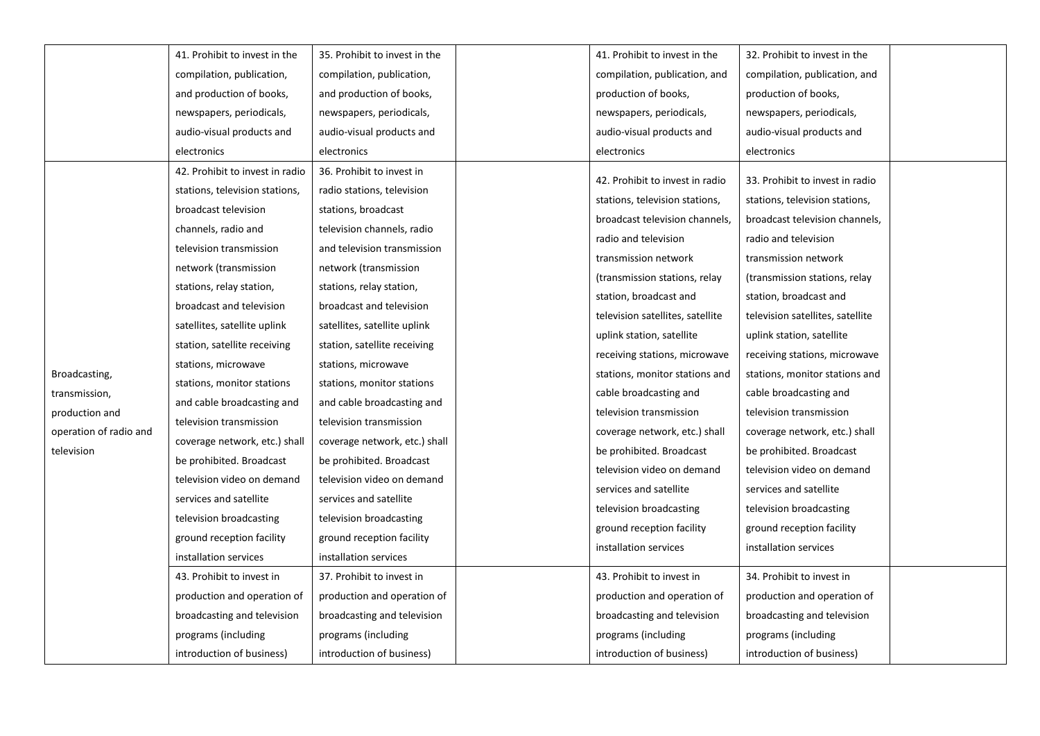|                        | 41. Prohibit to invest in the   | 35. Prohibit to invest in the |  | 41. Prohibit to invest in the    | 32. Prohibit to invest in the    |  |
|------------------------|---------------------------------|-------------------------------|--|----------------------------------|----------------------------------|--|
|                        | compilation, publication,       | compilation, publication,     |  | compilation, publication, and    | compilation, publication, and    |  |
|                        | and production of books,        | and production of books,      |  | production of books,             | production of books,             |  |
|                        | newspapers, periodicals,        | newspapers, periodicals,      |  | newspapers, periodicals,         | newspapers, periodicals,         |  |
|                        | audio-visual products and       | audio-visual products and     |  | audio-visual products and        | audio-visual products and        |  |
|                        | electronics                     | electronics                   |  | electronics                      | electronics                      |  |
|                        | 42. Prohibit to invest in radio | 36. Prohibit to invest in     |  | 42. Prohibit to invest in radio  | 33. Prohibit to invest in radio  |  |
|                        | stations, television stations,  | radio stations, television    |  |                                  |                                  |  |
|                        | broadcast television            | stations, broadcast           |  | stations, television stations,   | stations, television stations,   |  |
|                        | channels, radio and             | television channels, radio    |  | broadcast television channels,   | broadcast television channels,   |  |
|                        | television transmission         | and television transmission   |  | radio and television             | radio and television             |  |
|                        | network (transmission           | network (transmission         |  | transmission network             | transmission network             |  |
|                        | stations, relay station,        | stations, relay station,      |  | (transmission stations, relay    | (transmission stations, relay    |  |
|                        | broadcast and television        | broadcast and television      |  | station, broadcast and           | station, broadcast and           |  |
|                        | satellites, satellite uplink    | satellites, satellite uplink  |  | television satellites, satellite | television satellites, satellite |  |
|                        | station, satellite receiving    | station, satellite receiving  |  | uplink station, satellite        | uplink station, satellite        |  |
|                        | stations, microwave             | stations, microwave           |  | receiving stations, microwave    | receiving stations, microwave    |  |
| Broadcasting,          | stations, monitor stations      | stations, monitor stations    |  | stations, monitor stations and   | stations, monitor stations and   |  |
| transmission,          | and cable broadcasting and      | and cable broadcasting and    |  | cable broadcasting and           | cable broadcasting and           |  |
| production and         | television transmission         | television transmission       |  | television transmission          | television transmission          |  |
| operation of radio and | coverage network, etc.) shall   | coverage network, etc.) shall |  | coverage network, etc.) shall    | coverage network, etc.) shall    |  |
| television             | be prohibited. Broadcast        | be prohibited. Broadcast      |  | be prohibited. Broadcast         | be prohibited. Broadcast         |  |
|                        | television video on demand      | television video on demand    |  | television video on demand       | television video on demand       |  |
|                        | services and satellite          | services and satellite        |  | services and satellite           | services and satellite           |  |
|                        | television broadcasting         | television broadcasting       |  | television broadcasting          | television broadcasting          |  |
|                        | ground reception facility       | ground reception facility     |  | ground reception facility        | ground reception facility        |  |
|                        | installation services           | installation services         |  | installation services            | installation services            |  |
|                        | 43. Prohibit to invest in       | 37. Prohibit to invest in     |  | 43. Prohibit to invest in        | 34. Prohibit to invest in        |  |
|                        | production and operation of     | production and operation of   |  | production and operation of      | production and operation of      |  |
|                        | broadcasting and television     | broadcasting and television   |  | broadcasting and television      | broadcasting and television      |  |
|                        | programs (including             | programs (including           |  | programs (including              | programs (including              |  |
|                        | introduction of business)       | introduction of business)     |  | introduction of business)        | introduction of business)        |  |
|                        |                                 |                               |  |                                  |                                  |  |